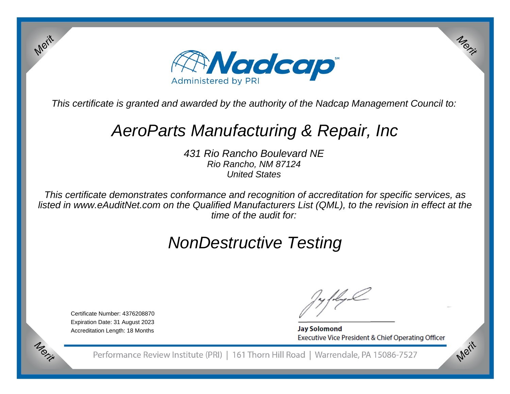

This certificate is granted and awarded by the authority of the Nadcap Management Council to:

## AeroParts Manufacturing & Repair, Inc

431 Rio Rancho Boulevard NERio Rancho, NM 87124United States

This certificate demonstrates conformance and recognition of accreditation for specific services, as listed in www.eAuditNet.com on the Qualified Manufacturers List (QML), to the revision in effect at thetime of the audit for:

# NonDestructive Testing

Certificate Number: 4376208870 Expiration Date: 31 August 2023Accreditation Length: 18 Months

Merit

Morie

**Jay Solomond** Executive Vice President & Chief Operating Officer Merit

Merit

Performance Review Institute (PRI) | 161 Thorn Hill Road | Warrendale, PA 15086-7527